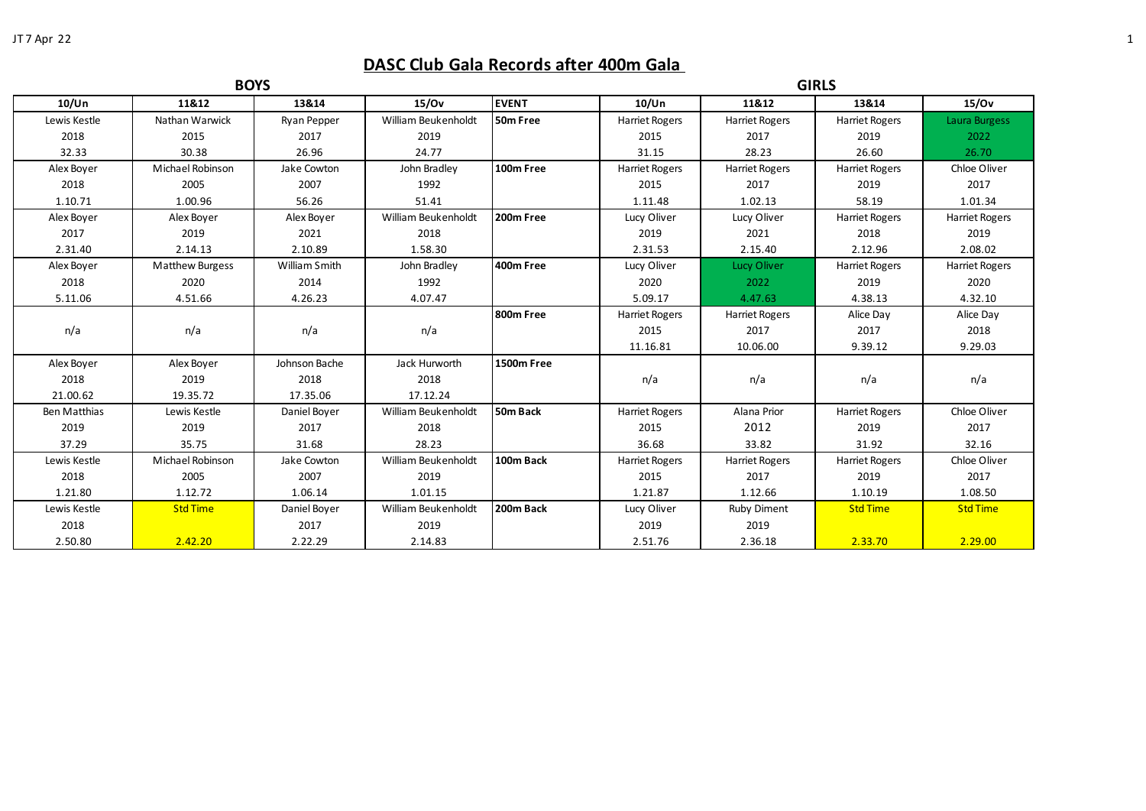## **DASC Club Gala Records after 400m Gala**

| <b>BOYS</b>  |                        |               |                     |              | <b>GIRLS</b>          |                       |                       |                       |
|--------------|------------------------|---------------|---------------------|--------------|-----------------------|-----------------------|-----------------------|-----------------------|
| 10/Un        | 11&12                  | 13&14         | 15/0v               | <b>EVENT</b> | 10/Un                 | 11&12                 | 13&14                 | 15/0v                 |
| Lewis Kestle | Nathan Warwick         | Ryan Pepper   | William Beukenholdt | 50m Free     | <b>Harriet Rogers</b> | Harriet Rogers        | Harriet Rogers        | Laura Burgess         |
| 2018         | 2015                   | 2017          | 2019                |              | 2015                  | 2017                  | 2019                  | 2022                  |
| 32.33        | 30.38                  | 26.96         | 24.77               |              | 31.15                 | 28.23                 | 26.60                 | 26.70                 |
| Alex Boyer   | Michael Robinson       | Jake Cowton   | John Bradley        | 100m Free    | <b>Harriet Rogers</b> | <b>Harriet Rogers</b> | <b>Harriet Rogers</b> | Chloe Oliver          |
| 2018         | 2005                   | 2007          | 1992                |              | 2015                  | 2017                  | 2019                  | 2017                  |
| 1.10.71      | 1.00.96                | 56.26         | 51.41               |              | 1.11.48               | 1.02.13               | 58.19                 | 1.01.34               |
| Alex Boyer   | Alex Boyer             | Alex Boyer    | William Beukenholdt | 200m Free    | Lucy Oliver           | Lucy Oliver           | Harriet Rogers        | <b>Harriet Rogers</b> |
| 2017         | 2019                   | 2021          | 2018                |              | 2019                  | 2021                  | 2018                  | 2019                  |
| 2.31.40      | 2.14.13                | 2.10.89       | 1.58.30             |              | 2.31.53               | 2.15.40               | 2.12.96               | 2.08.02               |
| Alex Boyer   | <b>Matthew Burgess</b> | William Smith | John Bradley        | 400m Free    | Lucy Oliver           | Lucy Oliver           | Harriet Rogers        | <b>Harriet Rogers</b> |
| 2018         | 2020                   | 2014          | 1992                |              | 2020                  | 2022                  | 2019                  | 2020                  |
| 5.11.06      | 4.51.66                | 4.26.23       | 4.07.47             |              | 5.09.17               | 4.47.63               | 4.38.13               | 4.32.10               |
|              |                        |               |                     | 800m Free    | Harriet Rogers        | <b>Harriet Rogers</b> | Alice Day             | Alice Day             |
| n/a          | n/a                    | n/a           | n/a                 |              | 2015                  | 2017                  | 2017                  | 2018                  |
|              |                        |               |                     |              | 11.16.81              | 10.06.00              | 9.39.12               | 9.29.03               |
| Alex Boyer   | Alex Boyer             | Johnson Bache | Jack Hurworth       | 1500m Free   |                       |                       |                       |                       |
| 2018         | 2019                   | 2018          | 2018                |              | n/a                   | n/a                   | n/a                   | n/a                   |
| 21.00.62     | 19.35.72               | 17.35.06      | 17.12.24            |              |                       |                       |                       |                       |
| Ben Matthias | Lewis Kestle           | Daniel Boyer  | William Beukenholdt | 50m Back     | <b>Harriet Rogers</b> | Alana Prior           | <b>Harriet Rogers</b> | Chloe Oliver          |
| 2019         | 2019                   | 2017          | 2018                |              | 2015                  | 2012                  | 2019                  | 2017                  |
| 37.29        | 35.75                  | 31.68         | 28.23               |              | 36.68                 | 33.82                 | 31.92                 | 32.16                 |
| Lewis Kestle | Michael Robinson       | Jake Cowton   | William Beukenholdt | 100m Back    | Harriet Rogers        | Harriet Rogers        | <b>Harriet Rogers</b> | Chloe Oliver          |
| 2018         | 2005                   | 2007          | 2019                |              | 2015                  | 2017                  | 2019                  | 2017                  |
| 1.21.80      | 1.12.72                | 1.06.14       | 1.01.15             |              | 1.21.87               | 1.12.66               | 1.10.19               | 1.08.50               |
| Lewis Kestle | <b>Std Time</b>        | Daniel Boyer  | William Beukenholdt | 200m Back    | Lucy Oliver           | <b>Ruby Diment</b>    | <b>Std Time</b>       | <b>Std Time</b>       |
| 2018         |                        | 2017          | 2019                |              | 2019                  | 2019                  |                       |                       |
| 2.50.80      | 2.42.20                | 2.22.29       | 2.14.83             |              | 2.51.76               | 2.36.18               | 2.33.70               | 2.29.00               |